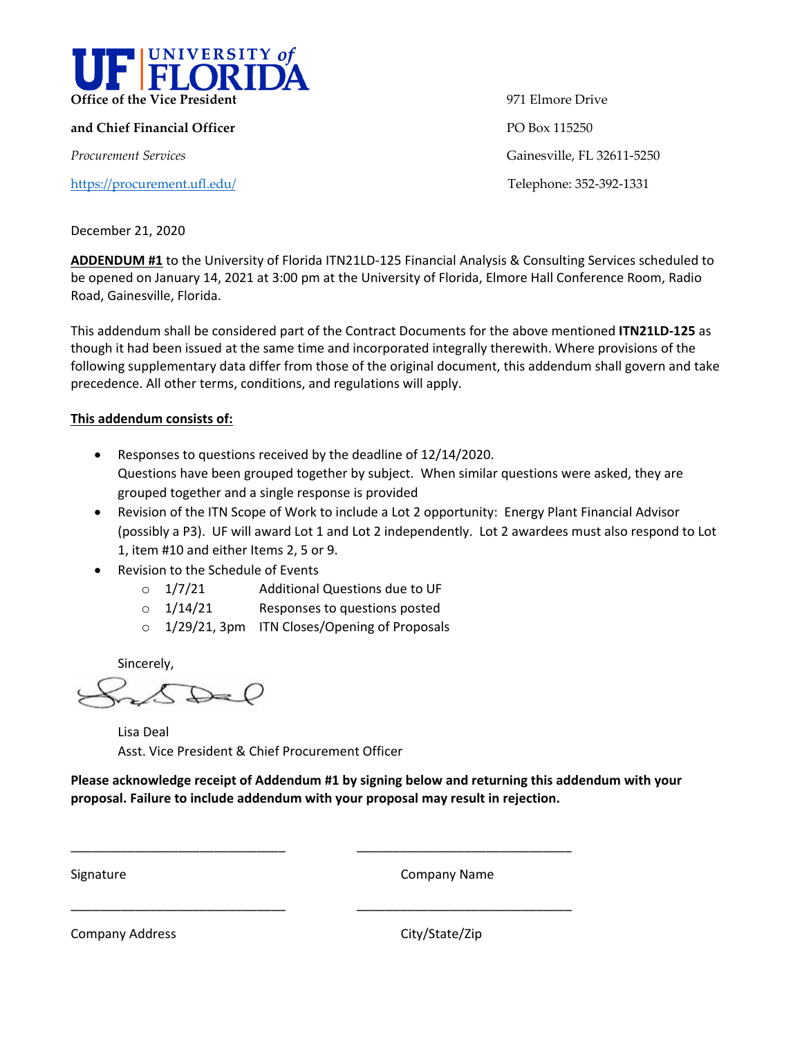

**and Chief Financial Officer PO Box 115250** 

<https://procurement.ufl.edu/> Telephone: 352-392-1331

971 Elmore Drive *Procurement Services* Gainesville, FL 32611-5250

December 21, 2020

**ADDENDUM #1** to the University of Florida ITN21LD-125 Financial Analysis & Consulting Services scheduled to be opened on January 14, 2021 at 3:00 pm at the University of Florida, Elmore Hall Conference Room, Radio Road, Gainesville, Florida.

This addendum shall be considered part of the Contract Documents for the above mentioned **ITN21LD-125** as though it had been issued at the same time and incorporated integrally therewith. Where provisions of the following supplementary data differ from those of the original document, this addendum shall govern and take precedence. All other terms, conditions, and regulations will apply.

#### **This addendum consists of:**

- Responses to questions received by the deadline of 12/14/2020. Questions have been grouped together by subject. When similar questions were asked, they are grouped together and a single response is provided
- Revision of the ITN Scope of Work to include a Lot 2 opportunity: Energy Plant Financial Advisor (possibly a P3). UF will award Lot 1 and Lot 2 independently. Lot 2 awardees must also respond to Lot 1, item #10 and either Items 2, 5 or 9.
- Revision to the Schedule of Events
	- o 1/7/21 Additional Questions due to UF
	- $\circ$  1/14/21 Responses to questions posted
	- o 1/29/21, 3pm ITN Closes/Opening of Proposals

Sincerely,

 $\mathbb{D} = \mathcal{O}$ 

Lisa Deal Asst. Vice President & Chief Procurement Officer

**Please acknowledge receipt of Addendum #1 by signing below and returning this addendum with your proposal. Failure to include addendum with your proposal may result in rejection.** 

\_\_\_\_\_\_\_\_\_\_\_\_\_\_\_\_\_\_\_\_\_\_\_\_\_\_\_\_\_\_ \_\_\_\_\_\_\_\_\_\_\_\_\_\_\_\_\_\_\_\_\_\_\_\_\_\_\_\_\_\_

\_\_\_\_\_\_\_\_\_\_\_\_\_\_\_\_\_\_\_\_\_\_\_\_\_\_\_\_\_\_ \_\_\_\_\_\_\_\_\_\_\_\_\_\_\_\_\_\_\_\_\_\_\_\_\_\_\_\_\_\_

Signature **Company Name** 

Company Address Company Address City/State/Zip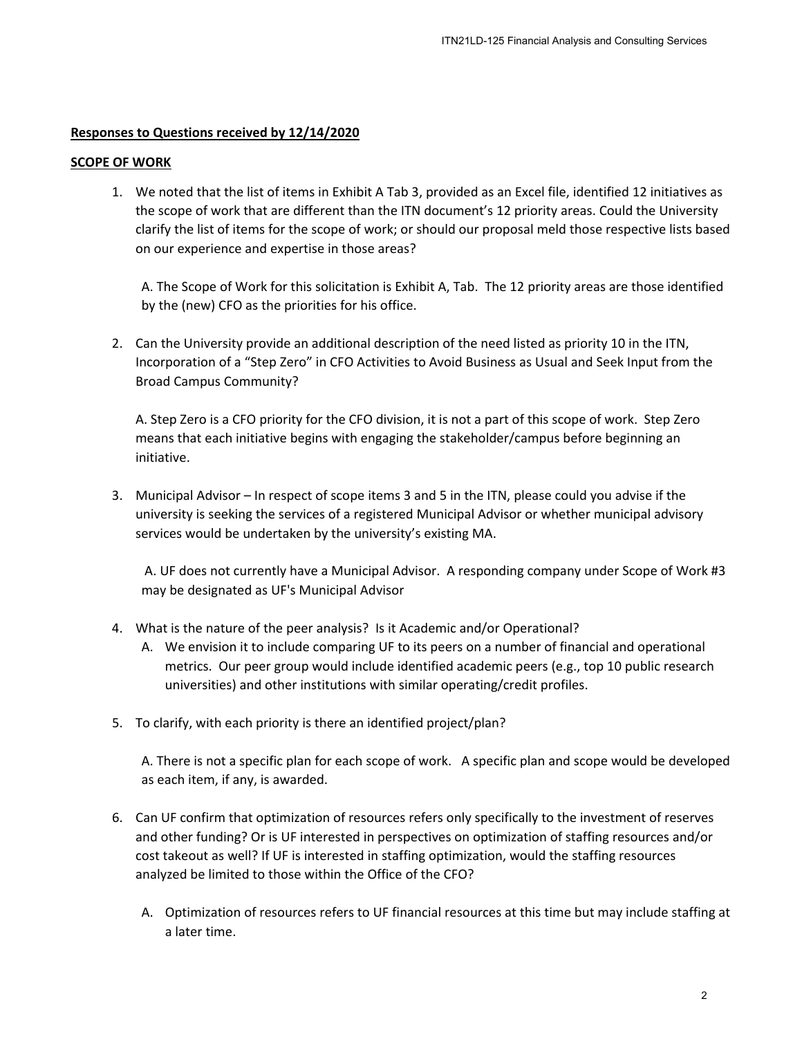### **Responses to Questions received by 12/14/2020**

#### **SCOPE OF WORK**

1. We noted that the list of items in Exhibit A Tab 3, provided as an Excel file, identified 12 initiatives as the scope of work that are different than the ITN document's 12 priority areas. Could the University clarify the list of items for the scope of work; or should our proposal meld those respective lists based on our experience and expertise in those areas? ITN21LD-125 Financial Analysis and Consulting Services<br>
cournent's 12 priority areas. Could the University<br>
4, Tab. The 12 priority areas. Could the University<br>
4, Tab. The 12 priority areas are those identified<br>
4, Tab. T

A. The Scope of Work for this solicitation is Exhibit A, Tab. The 12 priority areas are those identified by the (new) CFO as the priorities for his office.

2. Can the University provide an additional description of the need listed as priority 10 in the ITN, Incorporation of a "Step Zero" in CFO Activities to Avoid Business as Usual and Seek Input from the Broad Campus Community?

A. Step Zero is a CFO priority for the CFO division, it is not a part of this scope of work. Step Zero means that each initiative begins with engaging the stakeholder/campus before beginning an initiative.

3. Municipal Advisor – In respect of scope items 3 and 5 in the ITN, please could you advise if the university is seeking the services of a registered Municipal Advisor or whether municipal advisory services would be undertaken by the university's existing MA.

A. UF does not currently have a Municipal Advisor. A responding company under Scope of Work #3 may be designated as UF's Municipal Advisor

- 4. What is the nature of the peer analysis? Is it Academic and/or Operational?
	- A. We envision it to include comparing UF to its peers on a number of financial and operational metrics. Our peer group would include identified academic peers (e.g., top 10 public research universities) and other institutions with similar operating/credit profiles.
- 5. To clarify, with each priority is there an identified project/plan?

A. There is not a specific plan for each scope of work. A specific plan and scope would be developed as each item, if any, is awarded.

- 6. Can UF confirm that optimization of resources refers only specifically to the investment of reserves and other funding? Or is UF interested in perspectives on optimization of staffing resources and/or cost takeout as well? If UF is interested in staffing optimization, would the staffing resources analyzed be limited to those within the Office of the CFO?
	- A. Optimization of resources refers to UF financial resources at this time but may include staffing at a later time.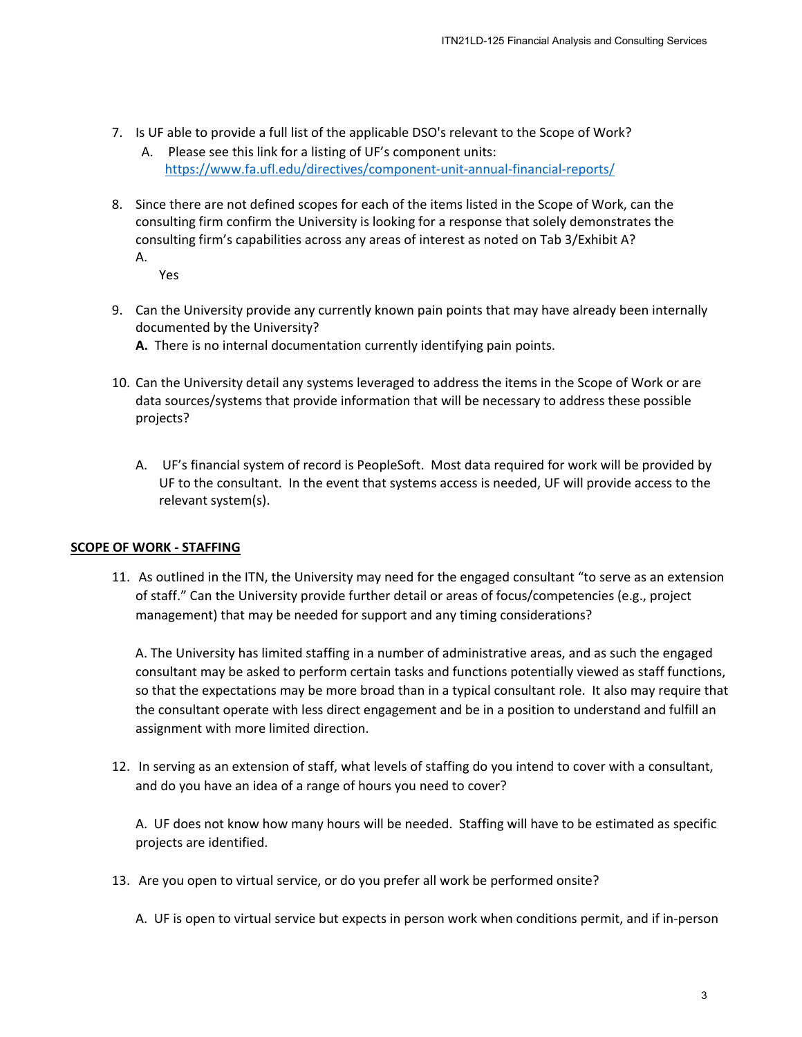- 7. Is UF able to provide a full list of the applicable DSO's relevant to the Scope of Work?
	- A. Please see this link for a listing of UF's component units: <https://www.fa.ufl.edu/directives/component-unit-annual-financial-reports/>
- 8. Since there are not defined scopes for each of the items listed in the Scope of Work, can the consulting firm confirm the University is looking for a response that solely demonstrates the consulting firm's capabilities across any areas of interest as noted on Tab 3/Exhibit A? A.

Yes

- 9. Can the University provide any currently known pain points that may have already been internally documented by the University?
	- **A.** There is no internal documentation currently identifying pain points.
- 10. Can the University detail any systems leveraged to address the items in the Scope of Work or are data sources/systems that provide information that will be necessary to address these possible projects?
	- A. UF's financial system of record is PeopleSoft. Most data required for work will be provided by UF to the consultant. In the event that systems access is needed, UF will provide access to the relevant system(s).

#### **SCOPE OF WORK - STAFFING**

11. As outlined in the ITN, the University may need for the engaged consultant "to serve as an extension of staff." Can the University provide further detail or areas of focus/competencies (e.g., project management) that may be needed for support and any timing considerations?

A. The University has limited staffing in a number of administrative areas, and as such the engaged consultant may be asked to perform certain tasks and functions potentially viewed as staff functions, so that the expectations may be more broad than in a typical consultant role. It also may require that the consultant operate with less direct engagement and be in a position to understand and fulfill an assignment with more limited direction. ITN21LD-125 Financial Analysis and Consulting Services<br>
1's relevant to the Scope of Work?<br>
1's relevant to the Scope of Work?<br>
1-unit-annual-financial-reports/<br>
1-unit-annual-financial-reports/<br>
1-unit-annual-financial-re

12. In serving as an extension of staff, what levels of staffing do you intend to cover with a consultant, and do you have an idea of a range of hours you need to cover?

A. UF does not know how many hours will be needed. Staffing will have to be estimated as specific projects are identified.

13. Are you open to virtual service, or do you prefer all work be performed onsite?

A. UF is open to virtual service but expects in person work when conditions permit, and if in-person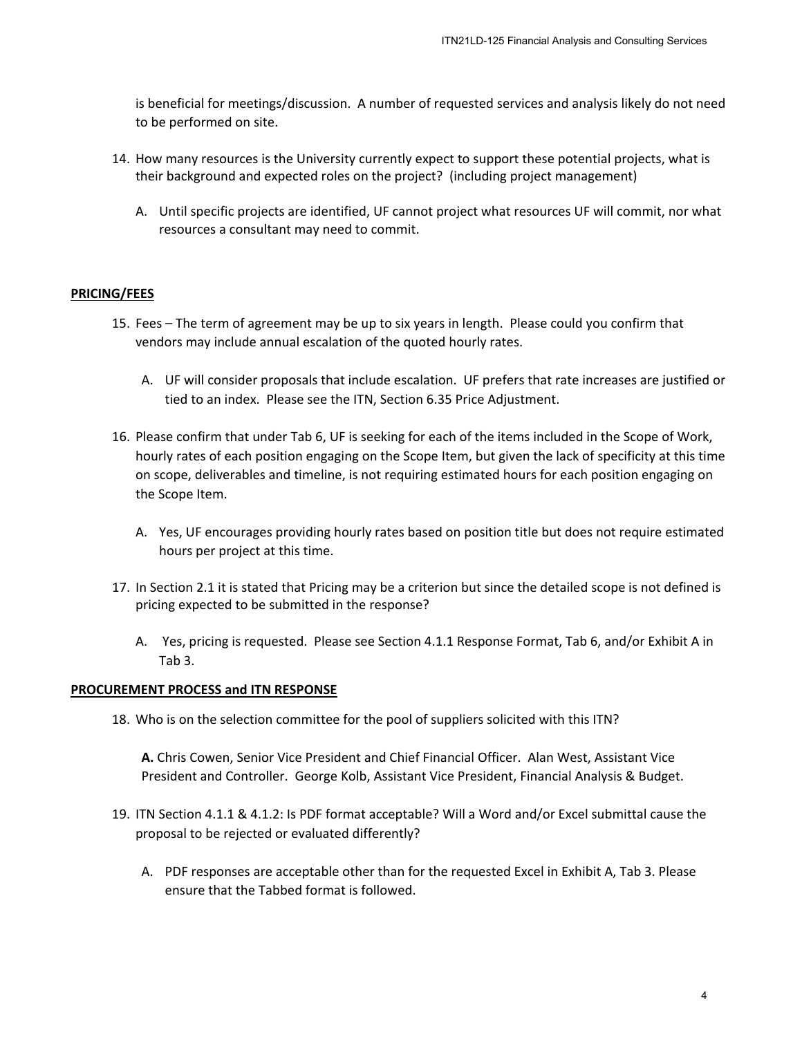is beneficial for meetings/discussion. A number of requested services and analysis likely do not need to be performed on site.

- 14. How many resources is the University currently expect to support these potential projects, what is their background and expected roles on the project? (including project management)
	- A. Until specific projects are identified, UF cannot project what resources UF will commit, nor what resources a consultant may need to commit.

#### **PRICING/FEES**

- 15. Fees The term of agreement may be up to six years in length. Please could you confirm that vendors may include annual escalation of the quoted hourly rates.
	- A. UF will consider proposals that include escalation. UF prefers that rate increases are justified or tied to an index. Please see the ITN, Section 6.35 Price Adjustment.
- 16. Please confirm that under Tab 6, UF is seeking for each of the items included in the Scope of Work, hourly rates of each position engaging on the Scope Item, but given the lack of specificity at this time on scope, deliverables and timeline, is not requiring estimated hours for each position engaging on the Scope Item. ITN21LD-125 Financial Analysis and Consulting Services<br>requested services and analysis likely do not ne<br>ect to support these potential projects, what is<br>? (including project management)<br>project what resources UF will commi
	- A. Yes, UF encourages providing hourly rates based on position title but does not require estimated hours per project at this time.
- 17. In Section 2.1 it is stated that Pricing may be a criterion but since the detailed scope is not defined is pricing expected to be submitted in the response?
	- A. Yes, pricing is requested. Please see Section 4.1.1 Response Format, Tab 6, and/or Exhibit A in Tab 3.

#### **PROCUREMENT PROCESS and ITN RESPONSE**

18. Who is on the selection committee for the pool of suppliers solicited with this ITN?

**A.** Chris Cowen, Senior Vice President and Chief Financial Officer. Alan West, Assistant Vice President and Controller. George Kolb, Assistant Vice President, Financial Analysis & Budget.

- 19. ITN Section 4.1.1 & 4.1.2: Is PDF format acceptable? Will a Word and/or Excel submittal cause the proposal to be rejected or evaluated differently?
	- A. PDF responses are acceptable other than for the requested Excel in Exhibit A, Tab 3. Please ensure that the Tabbed format is followed.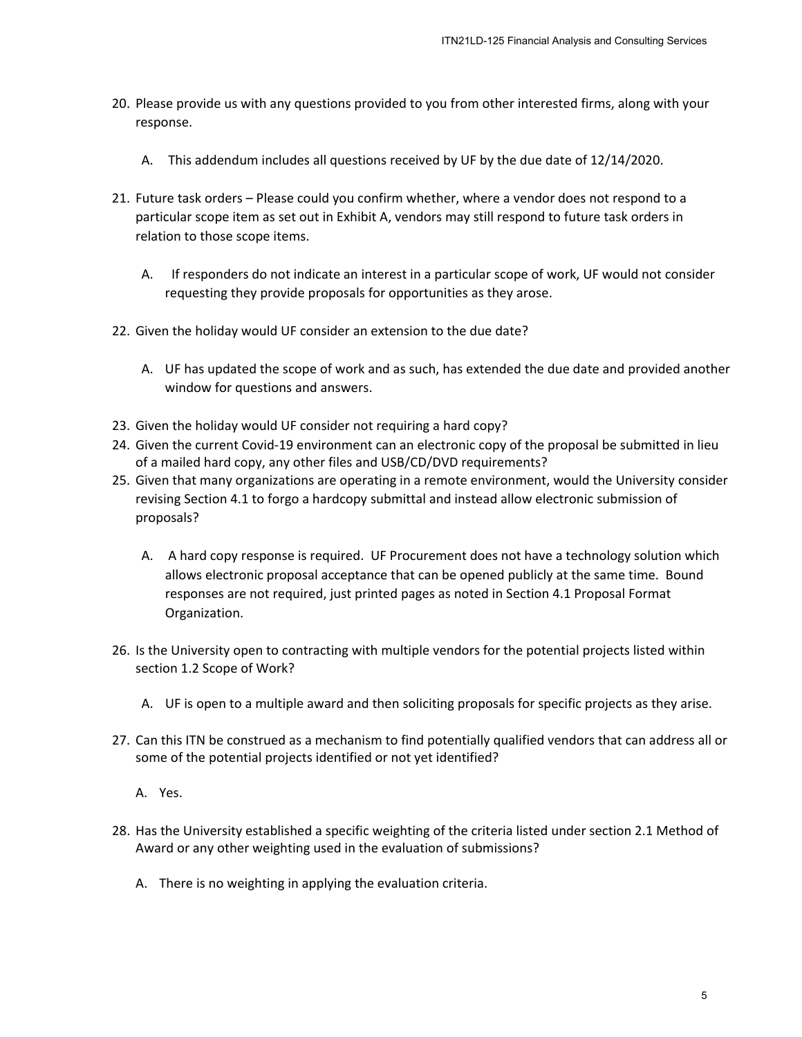- 20. Please provide us with any questions provided to you from other interested firms, along with your response.
	- A. This addendum includes all questions received by UF by the due date of 12/14/2020.
- 21. Future task orders Please could you confirm whether, where a vendor does not respond to a particular scope item as set out in Exhibit A, vendors may still respond to future task orders in relation to those scope items.
	- A. If responders do not indicate an interest in a particular scope of work, UF would not consider requesting they provide proposals for opportunities as they arose.
- 22. Given the holiday would UF consider an extension to the due date?
	- A. UF has updated the scope of work and as such, has extended the due date and provided another window for questions and answers.
- 23. Given the holiday would UF consider not requiring a hard copy?
- 24. Given the current Covid-19 environment can an electronic copy of the proposal be submitted in lieu of a mailed hard copy, any other files and USB/CD/DVD requirements?
- 25. Given that many organizations are operating in a remote environment, would the University consider revising Section 4.1 to forgo a hardcopy submittal and instead allow electronic submission of proposals?
- A. A hard copy response is required. UF Procurement does not have a technology solution which allows electronic proposal acceptance that can be opened publicly at the same time. Bound responses are not required, just printed pages as noted in Section 4.1 Proposal Format Organization. ITN21LD-125 Financial Analysis and Consulting Services<br>10 ou from other interested firms, along with your<br>10 by UF by the due date of 12/14/2020.<br>
her, where a vendor does not respond to a<br>5 may still respond to future tas
- 26. Is the University open to contracting with multiple vendors for the potential projects listed within section 1.2 Scope of Work?
	- A. UF is open to a multiple award and then soliciting proposals for specific projects as they arise.
- 27. Can this ITN be construed as a mechanism to find potentially qualified vendors that can address all or some of the potential projects identified or not yet identified?
	- A. Yes.
- 28. Has the University established a specific weighting of the criteria listed under section 2.1 Method of Award or any other weighting used in the evaluation of submissions?
	- A. There is no weighting in applying the evaluation criteria.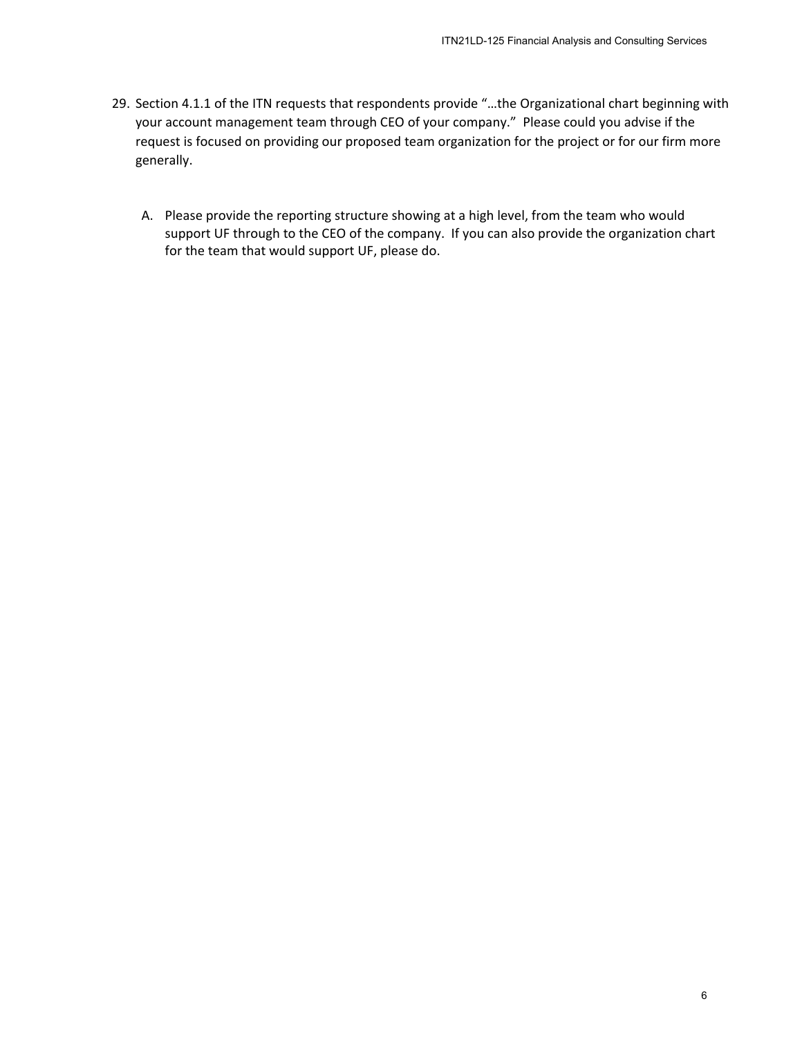- 29. Section 4.1.1 of the ITN requests that respondents provide "…the Organizational chart beginning with your account management team through CEO of your company." Please could you advise if the request is focused on providing our proposed team organization for the project or for our firm more generally. ITN21LD-125 Financial Analysis and Consulting Services<br>orovide "...the Organizational chart beginning wrompany." Please could you advise if the<br>organization for the project or for our firm mo<br>g at a high level, from the te
	- A. Please provide the reporting structure showing at a high level, from the team who would support UF through to the CEO of the company. If you can also provide the organization chart for the team that would support UF, please do.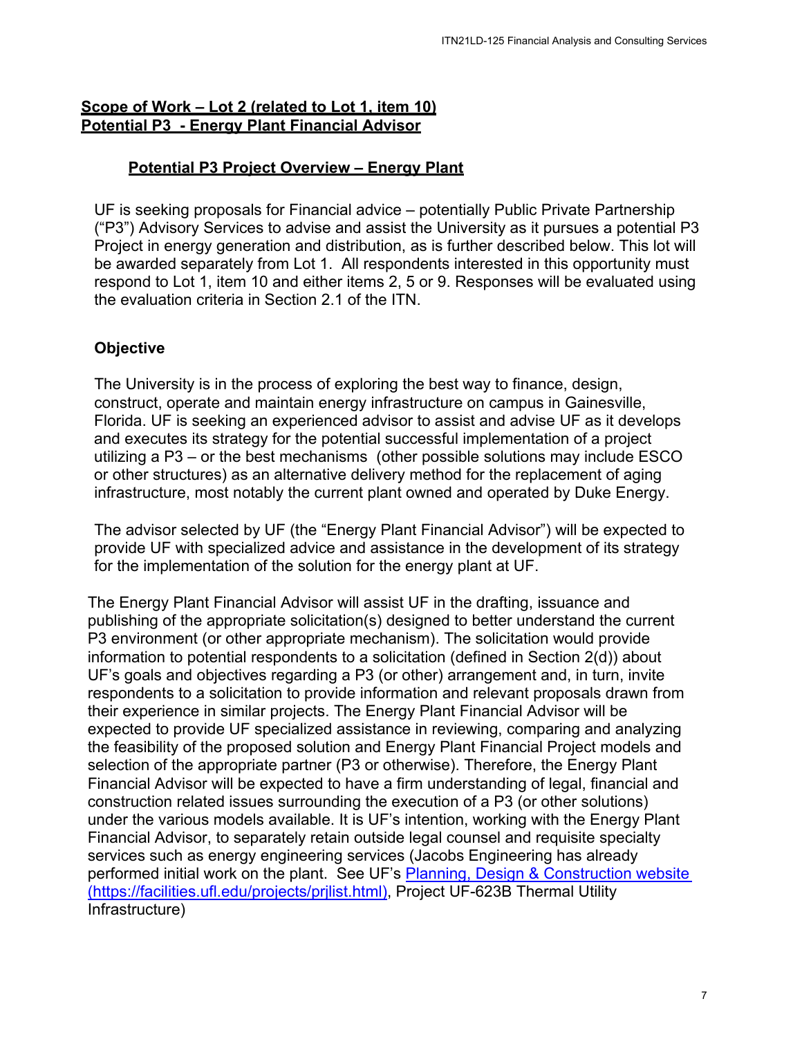## **Scope of Work – Lot 2 (related to Lot 1, item 10) Potential P3 - Energy Plant Financial Advisor**

# **Potential P3 Project Overview – Energy Plant**

UF is seeking proposals for Financial advice – potentially Public Private Partnership ("P3") Advisory Services to advise and assist the University as it pursues a potential P3 Project in energy generation and distribution, as is further described below. This lot will be awarded separately from Lot 1. All respondents interested in this opportunity must respond to Lot 1, item 10 and either items 2, 5 or 9. Responses will be evaluated using the evaluation criteria in Section 2.1 of the ITN.

# **Objective**

The University is in the process of exploring the best way to finance, design, construct, operate and maintain energy infrastructure on campus in Gainesville, Florida. UF is seeking an experienced advisor to assist and advise UF as it develops and executes its strategy for the potential successful implementation of a project utilizing a P3 – or the best mechanisms (other possible solutions may include ESCO or other structures) as an alternative delivery method for the replacement of aging infrastructure, most notably the current plant owned and operated by Duke Energy.

The advisor selected by UF (the "Energy Plant Financial Advisor") will be expected to provide UF with specialized advice and assistance in the development of its strategy for the implementation of the solution for the energy plant at UF.

The Energy Plant Financial Advisor will assist UF in the drafting, issuance and publishing of the appropriate solicitation(s) designed to better understand the current P3 environment (or other appropriate mechanism). The solicitation would provide information to potential respondents to a solicitation (defined in Section 2(d)) about UF's goals and objectives regarding a P3 (or other) arrangement and, in turn, invite respondents to a solicitation to provide information and relevant proposals drawn from their experience in similar projects. The Energy Plant Financial Advisor will be expected to provide UF specialized assistance in reviewing, comparing and analyzing the feasibility of the proposed solution and Energy Plant Financial Project models and selection of the appropriate partner (P3 or otherwise). Therefore, the Energy Plant Financial Advisor will be expected to have a firm understanding of legal, financial and construction related issues surrounding the execution of a P3 (or other solutions) under the various models available. It is UF's intention, working with the Energy Plant Financial Advisor, to separately retain outside legal counsel and requisite specialty services such as energy engineering services (Jacobs Engineering has already performed initial work on the plant. See UF's Planning, Design & Construction website (https://facilities.ufl.edu/projects/prjlist.html), Project UF-623B Thermal Utility Infrastructure) ITN21LD-125 Financial Analysis and Consulting Services<br> **Lant**<br> **Lant**<br> **Loniversity** as it pursues a potential P3<br> **S** further described below. This lot will<br>
ats interested in this opportunity must<br>
9. Responses will be